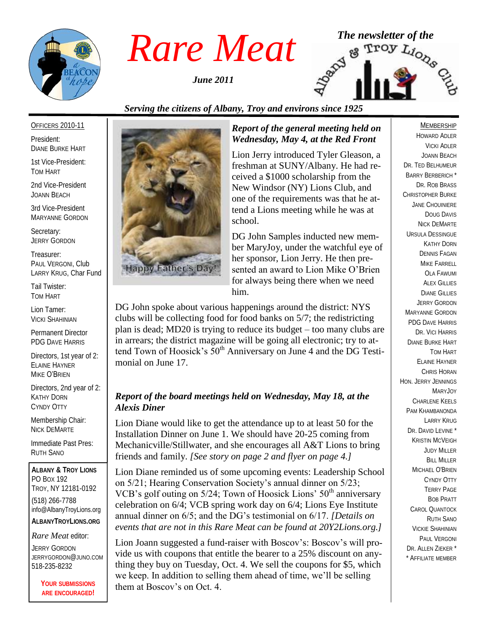

*June 2011*



### *Serving the citizens of Albany, Troy and environs since 1925*

#### OFFICERS 2010-11

President: DIANE BURKE HART

1st Vice-President: TOM HART

2nd Vice-President JOANN BEACH

3rd Vice-President MARYANNE GORDON

Secretary: JERRY GORDON

Treasurer: PAUL VERGONI, Club LARRY KRUG, Char Fund

Tail Twister: TOM HART

Lion Tamer: VICKI SHAHINIAN

Permanent Director PDG DAVE HARRIS

Directors, 1st year of 2: ELAINE HAYNER MIKE O'BRIEN

Directors, 2nd year of 2: KATHY DORN CYNDY OTTY

Membership Chair: NICK DEMARTE

Immediate Past Pres: RUTH SANO

**ALBANY & TROY LIONS** PO BOX 192 TROY, NY 12181-0192 (518) 266-7788 info@AlbanyTroyLions.org **ALBANYTROYLIONS.ORG**

#### *Rare Meat* editor:

JERRY GORDON JERRYGORDON@JUNO.COM 518-235-8232

> **YOUR SUBMISSIONS ARE ENCOURAGED!**



#### *Report of the general meeting held on Wednesday, May 4, at the Red Front*

Lion Jerry introduced Tyler Gleason, a freshman at SUNY/Albany. He had received a \$1000 scholarship from the New Windsor (NY) Lions Club, and one of the requirements was that he attend a Lions meeting while he was at school.

DG John Samples inducted new member MaryJoy, under the watchful eye of her sponsor, Lion Jerry. He then presented an award to Lion Mike O'Brien for always being there when we need him.

DG John spoke about various happenings around the district: NYS clubs will be collecting food for food banks on 5/7; the redistricting plan is dead; MD20 is trying to reduce its budget – too many clubs are in arrears; the district magazine will be going all electronic; try to attend Town of Hoosick's  $50<sup>th</sup>$  Anniversary on June 4 and the DG Testimonial on June 17.

#### *Report of the board meetings held on Wednesday, May 18, at the Alexis Diner*

Lion Diane would like to get the attendance up to at least 50 for the Installation Dinner on June 1. We should have 20-25 coming from Mechanicville/Stillwater, and she encourages all A&T Lions to bring friends and family. *[See story on page 2 and flyer on page 4.]*

Lion Diane reminded us of some upcoming events: Leadership School on 5/21; Hearing Conservation Society's annual dinner on 5/23; VCB's golf outing on  $5/24$ ; Town of Hoosick Lions'  $50<sup>th</sup>$  anniversary celebration on 6/4; VCB spring work day on 6/4; Lions Eye Institute annual dinner on 6/5; and the DG's testimonial on 6/17. *[Details on events that are not in this Rare Meat can be found at 20Y2Lions.org.]*

Lion Joann suggested a fund-raiser with Boscov's: Boscov's will provide us with coupons that entitle the bearer to a 25% discount on anything they buy on Tuesday, Oct. 4. We sell the coupons for \$5, which we keep. In addition to selling them ahead of time, we'll be selling them at Boscov's on Oct. 4.

#### MEMBERSHIP

HOWARD ADLER VICKI ADLER JOANN BEACH DR. TED BELHUMEUR BARRY BERBERICH \* DR. ROB BRASS CHRISTOPHER BURKE JANE CHOUINIERE DOUG DAVIS NICK DEMARTE URSULA DESSINGUE KATHY DORN DENNIS FAGAN MIKE FARRELL OLA FAWUMI **ALEX GILLIES** DIANE GILLIES JERRY GORDON MARYANNE GORDON PDG DAVE HARRIS DR. VICI HARRIS DIANE BURKE HART TOM HART ELAINE HAYNER CHRIS HORAN HON. JERRY JENNINGS MARYJOY CHARLENE KEELS PAM KHAMBANONDA LARRY KRUG DR. DAVID LEVINE<sup>\*</sup> KRISTIN MCVEIGH JUDY MILLER BILL MILLER MICHAEL O'BRIEN CYNDY OTTY TERRY PAGE BOB PRATT CAROL QUANTOCK RUTH SANO VICKIE SHAHINIAN PAUL VERGONI DR. ALLEN ZIEKER \* \* AFFILIATE MEMBER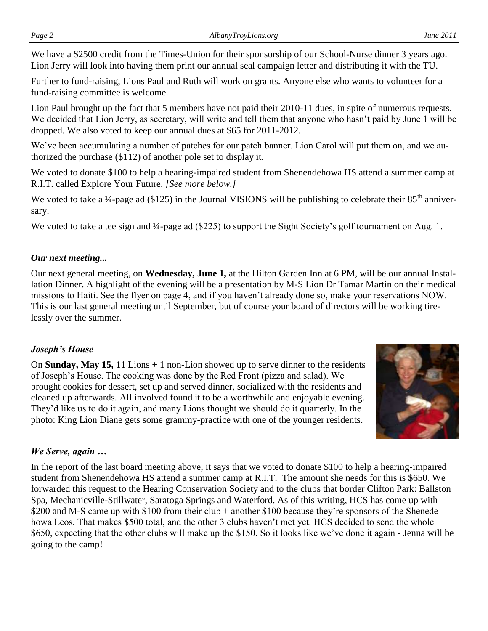We have a \$2500 credit from the Times-Union for their sponsorship of our School-Nurse dinner 3 years ago. Lion Jerry will look into having them print our annual seal campaign letter and distributing it with the TU.

Further to fund-raising, Lions Paul and Ruth will work on grants. Anyone else who wants to volunteer for a fund-raising committee is welcome.

Lion Paul brought up the fact that 5 members have not paid their 2010-11 dues, in spite of numerous requests. We decided that Lion Jerry, as secretary, will write and tell them that anyone who hasn't paid by June 1 will be dropped. We also voted to keep our annual dues at \$65 for 2011-2012.

We've been accumulating a number of patches for our patch banner. Lion Carol will put them on, and we authorized the purchase (\$112) of another pole set to display it.

We voted to donate \$100 to help a hearing-impaired student from Shenendehowa HS attend a summer camp at R.I.T. called Explore Your Future. *[See more below.]*

We voted to take a  $\frac{1}{4}$ -page ad (\$125) in the Journal VISIONS will be publishing to celebrate their 85<sup>th</sup> anniversary.

We voted to take a tee sign and ¼-page ad (\$225) to support the Sight Society's golf tournament on Aug. 1.

#### *Our next meeting...*

Our next general meeting, on **Wednesday, June 1,** at the Hilton Garden Inn at 6 PM, will be our annual Installation Dinner. A highlight of the evening will be a presentation by M-S Lion Dr Tamar Martin on their medical missions to Haiti. See the flyer on page 4, and if you haven't already done so, make your reservations NOW. This is our last general meeting until September, but of course your board of directors will be working tirelessly over the summer.

#### *Joseph's House*

On **Sunday, May 15,** 11 Lions + 1 non-Lion showed up to serve dinner to the residents of Joseph's House. The cooking was done by the Red Front (pizza and salad). We brought cookies for dessert, set up and served dinner, socialized with the residents and cleaned up afterwards. All involved found it to be a worthwhile and enjoyable evening. They'd like us to do it again, and many Lions thought we should do it quarterly. In the photo: King Lion Diane gets some grammy-practice with one of the younger residents.



#### *We Serve, again …*

In the report of the last board meeting above, it says that we voted to donate \$100 to help a hearing-impaired student from Shenendehowa HS attend a summer camp at R.I.T. The amount she needs for this is \$650. We forwarded this request to the Hearing Conservation Society and to the clubs that border Clifton Park: Ballston Spa, Mechanicville-Stillwater, Saratoga Springs and Waterford. As of this writing, HCS has come up with \$200 and M-S came up with \$100 from their club + another \$100 because they're sponsors of the Shenedehowa Leos. That makes \$500 total, and the other 3 clubs haven't met yet. HCS decided to send the whole \$650, expecting that the other clubs will make up the \$150. So it looks like we've done it again - Jenna will be going to the camp!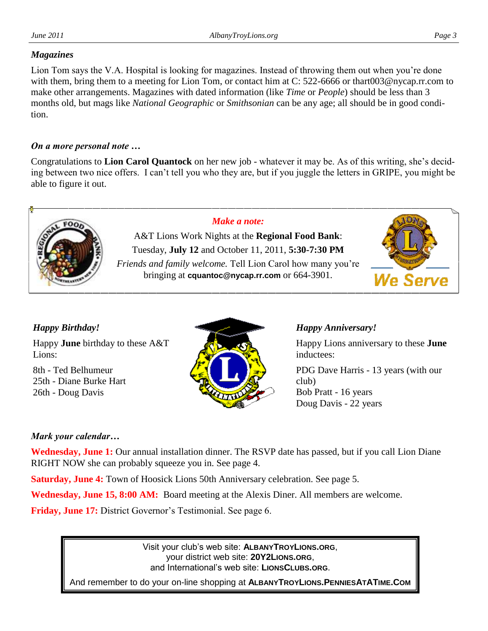# *Magazines*

Lion Tom says the V.A. Hospital is looking for magazines. Instead of throwing them out when you're done with them, bring them to a meeting for Lion Tom, or contact him at C: 522-6666 or thart003@nycap.rr.com to make other arrangements. Magazines with dated information (like *Time* or *People*) should be less than 3 months old, but mags like *National Geographic* or *Smithsonian* can be any age; all should be in good condition.

#### *On a more personal note …*

Congratulations to **Lion Carol Quantock** on her new job - whatever it may be. As of this writing, she's deciding between two nice offers. I can't tell you who they are, but if you juggle the letters in GRIPE, you might be able to figure it out.



### *Happy Birthday!*

Happy **June** birthday to these A&T Lions:

8th - Ted Belhumeur 25th - Diane Burke Hart 26th - Doug Davis



#### *Happy Anniversary!*

Happy Lions anniversary to these **June**  inductees:

PDG Dave Harris - 13 years (with our club) Bob Pratt - 16 years Doug Davis - 22 years

#### *Mark your calendar…*

**Wednesday, June 1:** Our annual installation dinner. The RSVP date has passed, but if you call Lion Diane RIGHT NOW she can probably squeeze you in. See page 4.

**Saturday, June 4:** Town of Hoosick Lions 50th Anniversary celebration. See page 5.

**Wednesday, June 15, 8:00 AM:** Board meeting at the Alexis Diner. All members are welcome.

**Friday, June 17:** District Governor's Testimonial. See page 6.

Visit your club's web site: **ALBANYTROYLIONS.ORG**, your district web site: **20Y2LIONS.ORG**, and International's web site: **LIONSCLUBS.ORG**.

And remember to do your on-line shopping at **ALBANYTROYLIONS.PENNIESATATIME.COM**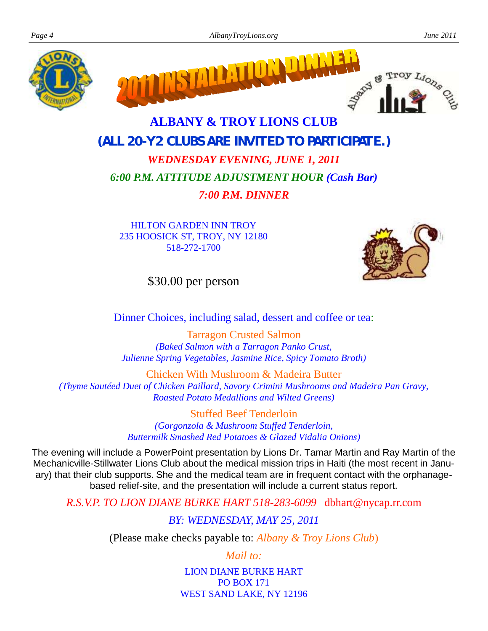



# **ALBANY & TROY LIONS CLUB (***ALL 20-Y2 CLUBS ARE INVITED TO PARTICIPATE***.)**

# *WEDNESDAY EVENING, JUNE 1, 2011 6:00 P.M. ATTITUDE ADJUSTMENT HOUR (Cash Bar) 7:00 P.M. DINNER*

HILTON GARDEN INN TROY 235 HOOSICK ST, TROY, NY 12180 518-272-1700



\$30.00 per person

Dinner Choices, including salad, dessert and coffee or tea:

Tarragon Crusted Salmon *(Baked Salmon with a Tarragon Panko Crust, Julienne Spring Vegetables, Jasmine Rice, Spicy Tomato Broth)*

Chicken With Mushroom & Madeira Butter *(Thyme Sautéed Duet of Chicken Paillard, Savory Crimini Mushrooms and Madeira Pan Gravy, Roasted Potato Medallions and Wilted Greens)*

> Stuffed Beef Tenderloin *(Gorgonzola & Mushroom Stuffed Tenderloin, Buttermilk Smashed Red Potatoes & Glazed Vidalia Onions)*

The evening will include a PowerPoint presentation by Lions Dr. Tamar Martin and Ray Martin of the Mechanicville-Stillwater Lions Club about the medical mission trips in Haiti (the most recent in January) that their club supports. She and the medical team are in frequent contact with the orphanagebased relief-site, and the presentation will include a current status report.

*R.S.V.P. TO LION DIANE BURKE HART 518-283-6099* dbhart@nycap.rr.com

*BY: WEDNESDAY, MAY 25, 2011*

(Please make checks payable to: *Albany & Troy Lions Club*)

*Mail to:*

LION DIANE BURKE HART PO BOX 171 WEST SAND LAKE, NY 12196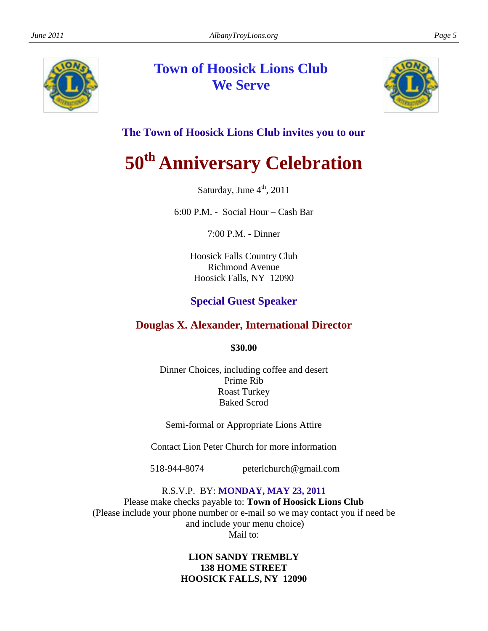

# **Town of Hoosick Lions Club We Serve**



## **The Town of Hoosick Lions Club invites you to our**

# **50th Anniversary Celebration**

Saturday, June 4<sup>th</sup>, 2011

6:00 P.M. - Social Hour – Cash Bar

7:00 P.M. - Dinner

Hoosick Falls Country Club Richmond Avenue Hoosick Falls, NY 12090

### **Special Guest Speaker**

### **Douglas X. Alexander, International Director**

**\$30.00**

Dinner Choices, including coffee and desert Prime Rib Roast Turkey Baked Scrod

Semi-formal or Appropriate Lions Attire

Contact Lion Peter Church for more information

518-944-8074 peterlchurch@gmail.com

R.S.V.P. BY: **MONDAY, MAY 23, 2011** Please make checks payable to: **Town of Hoosick Lions Club** (Please include your phone number or e-mail so we may contact you if need be and include your menu choice) Mail to:

#### **LION SANDY TREMBLY 138 HOME STREET HOOSICK FALLS, NY 12090**